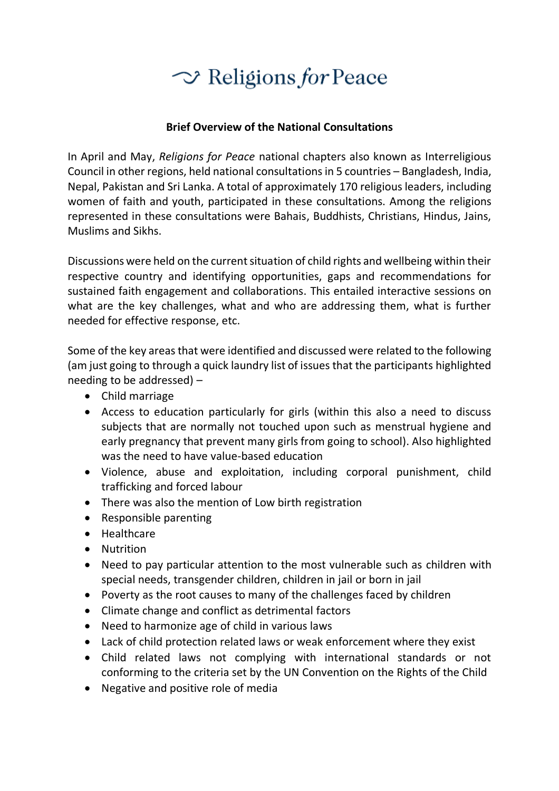

## **Brief Overview of the National Consultations**

In April and May, *Religions for Peace* national chapters also known as Interreligious Council in other regions, held national consultations in 5 countries – Bangladesh, India, Nepal, Pakistan and Sri Lanka. A total of approximately 170 religious leaders, including women of faith and youth, participated in these consultations. Among the religions represented in these consultations were Bahais, Buddhists, Christians, Hindus, Jains, Muslims and Sikhs.

Discussions were held on the current situation of child rights and wellbeing within their respective country and identifying opportunities, gaps and recommendations for sustained faith engagement and collaborations. This entailed interactive sessions on what are the key challenges, what and who are addressing them, what is further needed for effective response, etc.

Some of the key areas that were identified and discussed were related to the following (am just going to through a quick laundry list of issues that the participants highlighted needing to be addressed) –

- Child marriage
- Access to education particularly for girls (within this also a need to discuss subjects that are normally not touched upon such as menstrual hygiene and early pregnancy that prevent many girls from going to school). Also highlighted was the need to have value-based education
- Violence, abuse and exploitation, including corporal punishment, child trafficking and forced labour
- There was also the mention of Low birth registration
- Responsible parenting
- Healthcare
- Nutrition
- Need to pay particular attention to the most vulnerable such as children with special needs, transgender children, children in jail or born in jail
- Poverty as the root causes to many of the challenges faced by children
- Climate change and conflict as detrimental factors
- Need to harmonize age of child in various laws
- Lack of child protection related laws or weak enforcement where they exist
- Child related laws not complying with international standards or not conforming to the criteria set by the UN Convention on the Rights of the Child
- Negative and positive role of media